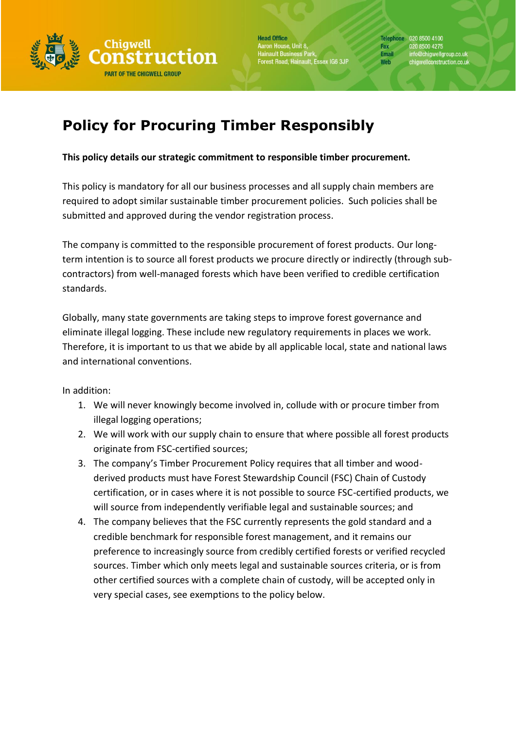

**Head Office** .<br>Aaron House, Unit 8,<br>Hainault Business Park,<br>Forest Road, Hainault, Essex IG6 3JP

# **Policy for Procuring Timber Responsibly**

# **This policy details our strategic commitment to responsible timber procurement.**

This policy is mandatory for all our business processes and all supply chain members are required to adopt similar sustainable timber procurement policies. Such policies shall be submitted and approved during the vendor registration process.

The company is committed to the responsible procurement of forest products. Our longterm intention is to source all forest products we procure directly or indirectly (through subcontractors) from well-managed forests which have been verified to credible certification standards.

Globally, many state governments are taking steps to improve forest governance and eliminate illegal logging. These include new regulatory requirements in places we work. Therefore, it is important to us that we abide by all applicable local, state and national laws and international conventions.

In addition:

- 1. We will never knowingly become involved in, collude with or procure timber from illegal logging operations;
- 2. We will work with our supply chain to ensure that where possible all forest products originate from FSC-certified sources;
- 3. The company's Timber Procurement Policy requires that all timber and woodderived products must have Forest Stewardship Council (FSC) Chain of Custody certification, or in cases where it is not possible to source FSC-certified products, we will source from independently verifiable legal and sustainable sources; and
- 4. The company believes that the FSC currently represents the gold standard and a credible benchmark for responsible forest management, and it remains our preference to increasingly source from credibly certified forests or verified recycled sources. Timber which only meets legal and sustainable sources criteria, or is from other certified sources with a complete chain of custody, will be accepted only in very special cases, see exemptions to the policy below.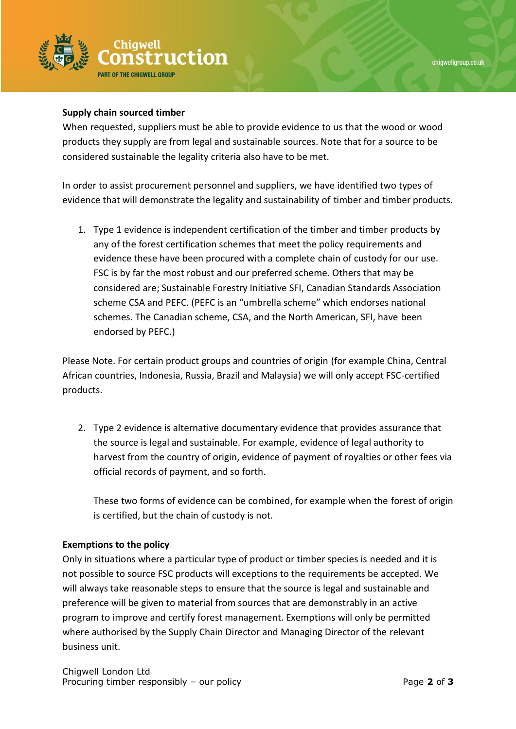

## **Supply chain sourced timber**

When requested, suppliers must be able to provide evidence to us that the wood or wood products they supply are from legal and sustainable sources. Note that for a source to be considered sustainable the legality criteria also have to be met.

In order to assist procurement personnel and suppliers, we have identified two types of evidence that will demonstrate the legality and sustainability of timber and timber products.

1. Type 1 evidence is independent certification of the timber and timber products by any of the forest certification schemes that meet the policy requirements and evidence these have been procured with a complete chain of custody for our use. FSC is by far the most robust and our preferred scheme. Others that may be considered are; Sustainable Forestry Initiative SFI, Canadian Standards Association scheme CSA and PEFC. (PEFC is an "umbrella scheme" which endorses national schemes. The Canadian scheme, CSA, and the North American, SFI, have been endorsed by PEFC.)

Please Note. For certain product groups and countries of origin (for example China, Central African countries, Indonesia, Russia, Brazil and Malaysia) we will only accept FSC-certified products.

2. Type 2 evidence is alternative documentary evidence that provides assurance that the source is legal and sustainable. For example, evidence of legal authority to harvest from the country of origin, evidence of payment of royalties or other fees via official records of payment, and so forth.

These two forms of evidence can be combined, for example when the forest of origin is certified, but the chain of custody is not.

## **Exemptions to the policy**

Only in situations where a particular type of product or timber species is needed and it is not possible to source FSC products will exceptions to the requirements be accepted. We will always take reasonable steps to ensure that the source is legal and sustainable and preference will be given to material from sources that are demonstrably in an active program to improve and certify forest management. Exemptions will only be permitted where authorised by the Supply Chain Director and Managing Director of the relevant business unit.